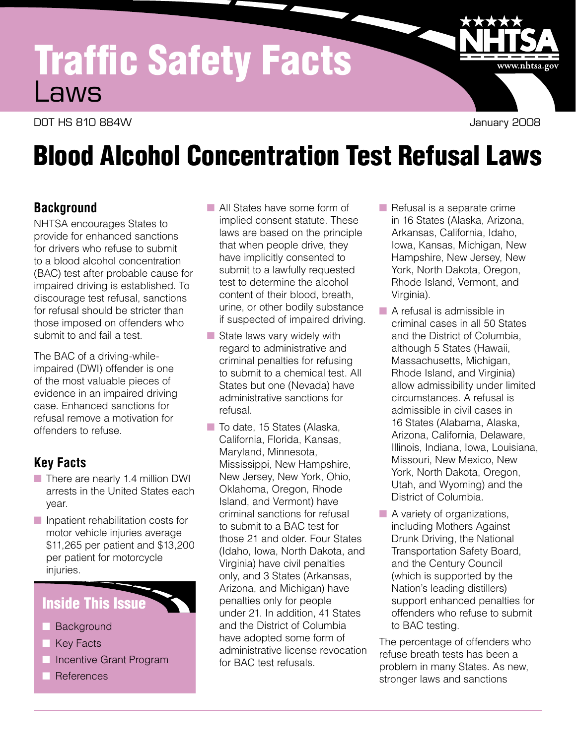# Traffic Safety Facts Laws

DOT HS 810 884W January 2008

www.nhtsa.gov

# Blood Alcohol Concentration Test Refusal Laws

### **Background**

NHTSA encourages States to provide for enhanced sanctions for drivers who refuse to submit to a blood alcohol concentration (BAC) test after probable cause for impaired driving is established. To discourage test refusal, sanctions for refusal should be stricter than those imposed on offenders who submit to and fail a test.

The BAC of a driving-whileimpaired (DWI) offender is one of the most valuable pieces of evidence in an impaired driving case. Enhanced sanctions for refusal remove a motivation for offenders to refuse.

# **Key Facts**

- $\blacksquare$  There are nearly 1.4 million DWI arrests in the United States each year.
- $\blacksquare$  Inpatient rehabilitation costs for motor vehicle injuries average \$11,265 per patient and \$13,200 per patient for motorcycle injuries.

# **Inside This Issue**

- **Background**
- **Key Facts**
- **n** Incentive Grant Program
- **References**
- **No.** All States have some form of implied consent statute. These laws are based on the principle that when people drive, they have implicitly consented to submit to a lawfully requested test to determine the alcohol content of their blood, breath, urine, or other bodily substance if suspected of impaired driving.
- $\blacksquare$  State laws vary widely with regard to administrative and criminal penalties for refusing to submit to a chemical test. All States but one (Nevada) have administrative sanctions for refusal.
- $\blacksquare$  To date, 15 States (Alaska, California, Florida, Kansas, Maryland, Minnesota, Mississippi, New Hampshire, New Jersey, New York, Ohio, Oklahoma, Oregon, Rhode Island, and Vermont) have criminal sanctions for refusal to submit to a BAC test for those 21 and older. Four States (Idaho, Iowa, North Dakota, and Virginia) have civil penalties only, and 3 States (Arkansas, Arizona, and Michigan) have penalties only for people under 21. In addition, 41 States and the District of Columbia have adopted some form of administrative license revocation for BAC test refusals.
- $\blacksquare$  Refusal is a separate crime in 16 States (Alaska, Arizona, Arkansas, California, Idaho, Iowa, Kansas, Michigan, New Hampshire, New Jersey, New York, North Dakota, Oregon, Rhode Island, Vermont, and Virginia).
- $\blacksquare$  A refusal is admissible in criminal cases in all 50 States and the District of Columbia, although 5 States (Hawaii, Massachusetts, Michigan, Rhode Island, and Virginia) allow admissibility under limited circumstances. A refusal is admissible in civil cases in 16 States (Alabama, Alaska, Arizona, California, Delaware, Illinois, Indiana, Iowa, Louisiana, Missouri, New Mexico, New York, North Dakota, Oregon, Utah, and Wyoming) and the District of Columbia.
- $\blacksquare$  A variety of organizations, including Mothers Against Drunk Driving, the National Transportation Safety Board, and the Century Council (which is supported by the Nation's leading distillers) support enhanced penalties for offenders who refuse to submit to BAC testing.

The percentage of offenders who refuse breath tests has been a problem in many States. As new, stronger laws and sanctions